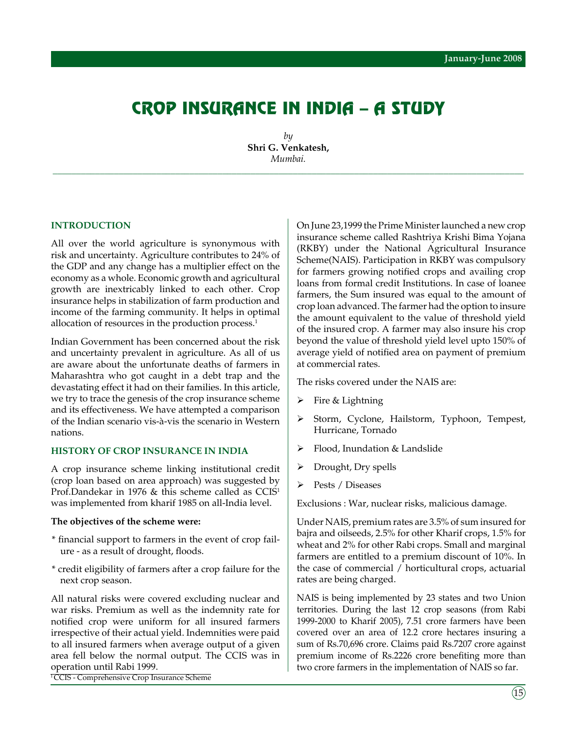# Crop Insurance in India – A study

*by* **Shri G. Venkatesh,** *Mumbai.*

*\_\_\_\_\_\_\_\_\_\_\_\_\_\_\_\_\_\_\_\_\_\_\_\_\_\_\_\_\_\_\_\_\_\_\_\_\_\_\_\_\_\_\_\_\_\_\_\_\_\_\_\_\_\_\_\_\_\_\_\_\_\_\_\_\_\_\_\_\_\_\_\_\_\_\_\_\_\_\_\_\_\_\_\_\_\_\_\_\_\_\_\_\_\_\_\_\_\_\_\_*

#### **INTRODUCTION**

All over the world agriculture is synonymous with risk and uncertainty. Agriculture contributes to 24% of the GDP and any change has a multiplier effect on the economy as a whole. Economic growth and agricultural growth are inextricably linked to each other. Crop insurance helps in stabilization of farm production and income of the farming community. It helps in optimal allocation of resources in the production process.<sup>1</sup>

Indian Government has been concerned about the risk and uncertainty prevalent in agriculture. As all of us are aware about the unfortunate deaths of farmers in Maharashtra who got caught in a debt trap and the devastating effect it had on their families. In this article, we try to trace the genesis of the crop insurance scheme and its effectiveness. We have attempted a comparison of the Indian scenario vis-à-vis the scenario in Western nations.

# **HISTORY OF CROP INSURANCE IN INDIA**

A crop insurance scheme linking institutional credit (crop loan based on area approach) was suggested by Prof.Dandekar in 1976 & this scheme called as CCIS<sup>1</sup> was implemented from kharif 1985 on all-India level.

#### **The objectives of the scheme were:**

- \* financial support to farmers in the event of crop failure - as a result of drought, floods.
- \* credit eligibility of farmers after a crop failure for the next crop season.

All natural risks were covered excluding nuclear and war risks. Premium as well as the indemnity rate for notified crop were uniform for all insured farmers irrespective of their actual yield. Indemnities were paid to all insured farmers when average output of a given area fell below the normal output. The CCIS was in operation until Rabi 1999.

<sup>1</sup> CCIS - Comprehensive Crop Insurance Scheme

On June 23,1999 the Prime Minister launched a new crop insurance scheme called Rashtriya Krishi Bima Yojana (RKBY) under the National Agricultural Insurance Scheme(NAIS). Participation in RKBY was compulsory for farmers growing notified crops and availing crop loans from formal credit Institutions. In case of loanee farmers, the Sum insured was equal to the amount of crop loan advanced. The farmer had the option to insure the amount equivalent to the value of threshold yield of the insured crop. A farmer may also insure his crop beyond the value of threshold yield level upto 150% of average yield of notified area on payment of premium at commercial rates.

The risks covered under the NAIS are:

- $\triangleright$  Fire & Lightning
- Storm, Cyclone, Hailstorm, Typhoon, Tempest, Hurricane, Tornado
- ¾ Flood, Inundation & Landslide
- Drought, Dry spells
- ¾ Pests / Diseases

Exclusions : War, nuclear risks, malicious damage.

Under NAIS, premium rates are 3.5% of sum insured for bajra and oilseeds, 2.5% for other Kharif crops, 1.5% for wheat and 2% for other Rabi crops. Small and marginal farmers are entitled to a premium discount of 10%. In the case of commercial / horticultural crops, actuarial rates are being charged.

NAIS is being implemented by 23 states and two Union territories. During the last 12 crop seasons (from Rabi 1999-2000 to Kharif 2005), 7.51 crore farmers have been covered over an area of 12.2 crore hectares insuring a sum of Rs.70,696 crore. Claims paid Rs.7207 crore against premium income of Rs.2226 crore benefiting more than two crore farmers in the implementation of NAIS so far.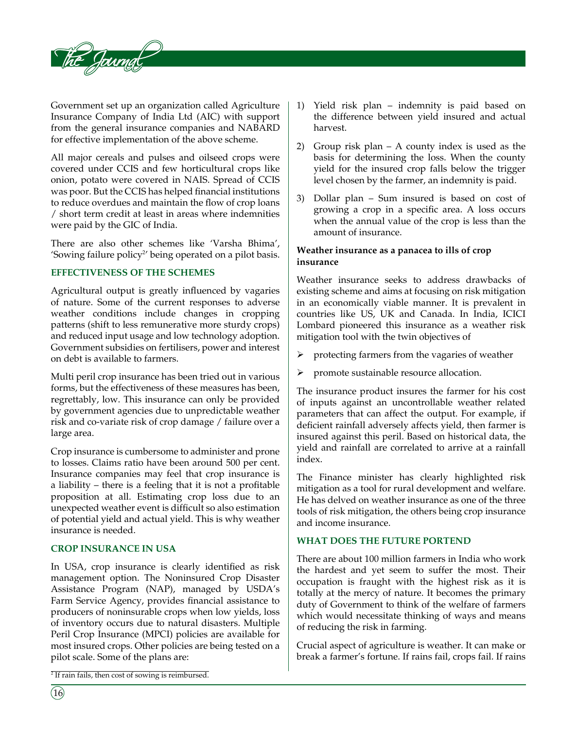

Government set up an organization called Agriculture Insurance Company of India Ltd (AIC) with support from the general insurance companies and NABARD for effective implementation of the above scheme.

All major cereals and pulses and oilseed crops were covered under CCIS and few horticultural crops like onion, potato were covered in NAIS. Spread of CCIS was poor. But the CCIS has helped financial institutions to reduce overdues and maintain the flow of crop loans / short term credit at least in areas where indemnities were paid by the GIC of India.

There are also other schemes like 'Varsha Bhima', 'Sowing failure policy<sup>2'</sup> being operated on a pilot basis.

# **Effectiveness of the schemes**

Agricultural output is greatly influenced by vagaries of nature. Some of the current responses to adverse weather conditions include changes in cropping patterns (shift to less remunerative more sturdy crops) and reduced input usage and low technology adoption. Government subsidies on fertilisers, power and interest on debt is available to farmers.

Multi peril crop insurance has been tried out in various forms, but the effectiveness of these measures has been, regrettably, low. This insurance can only be provided by government agencies due to unpredictable weather risk and co-variate risk of crop damage / failure over a large area.

Crop insurance is cumbersome to administer and prone to losses. Claims ratio have been around 500 per cent. Insurance companies may feel that crop insurance is a liability – there is a feeling that it is not a profitable proposition at all. Estimating crop loss due to an unexpected weather event is difficult so also estimation of potential yield and actual yield. This is why weather insurance is needed.

# **Crop insurance in USA**

In USA, crop insurance is clearly identified as risk management option. The Noninsured Crop Disaster Assistance Program (NAP), managed by USDA's Farm Service Agency, provides financial assistance to producers of noninsurable crops when low yields, loss of inventory occurs due to natural disasters. Multiple Peril Crop Insurance (MPCI) policies are available for most insured crops. Other policies are being tested on a pilot scale. Some of the plans are:

- 1) Yield risk plan indemnity is paid based on the difference between yield insured and actual harvest.
- 2) Group risk plan A county index is used as the basis for determining the loss. When the county yield for the insured crop falls below the trigger level chosen by the farmer, an indemnity is paid.
- 3) Dollar plan Sum insured is based on cost of growing a crop in a specific area. A loss occurs when the annual value of the crop is less than the amount of insurance.

# **Weather insurance as a panacea to ills of crop insurance**

Weather insurance seeks to address drawbacks of existing scheme and aims at focusing on risk mitigation in an economically viable manner. It is prevalent in countries like US, UK and Canada. In India, ICICI Lombard pioneered this insurance as a weather risk mitigation tool with the twin objectives of

- $\triangleright$  protecting farmers from the vagaries of weather
- $\triangleright$  promote sustainable resource allocation.

The insurance product insures the farmer for his cost of inputs against an uncontrollable weather related parameters that can affect the output. For example, if deficient rainfall adversely affects yield, then farmer is insured against this peril. Based on historical data, the yield and rainfall are correlated to arrive at a rainfall index.

The Finance minister has clearly highlighted risk mitigation as a tool for rural development and welfare. He has delved on weather insurance as one of the three tools of risk mitigation, the others being crop insurance and income insurance.

# **What does the future portend**

There are about 100 million farmers in India who work the hardest and yet seem to suffer the most. Their occupation is fraught with the highest risk as it is totally at the mercy of nature. It becomes the primary duty of Government to think of the welfare of farmers which would necessitate thinking of ways and means of reducing the risk in farming.

Crucial aspect of agriculture is weather. It can make or break a farmer's fortune. If rains fail, crops fail. If rains

<sup>2</sup> If rain fails, then cost of sowing is reimbursed.